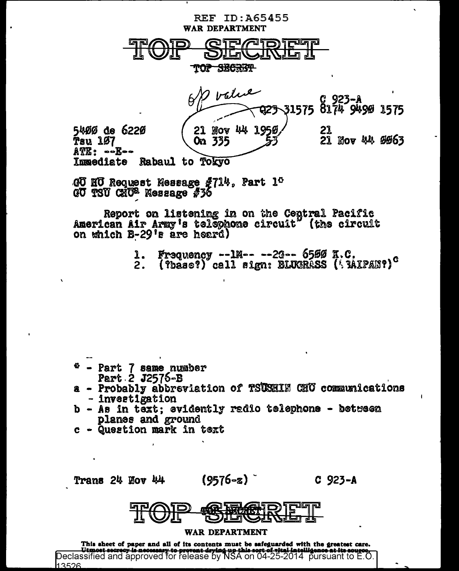

GU HU Request Message #714, Part 1<sup>0</sup> GU TSU CHU<sup>2</sup> Message #36

Report on listening in on the Central Pacific American Air Army's telephone circuit" (the circuit on which B-29's are heard)

- Frequency --1M-- --2G--  $6599$  K.C.
- (?base?) call sign: BLUGRASS ('MIPAN?)<sup>c</sup>

- Part 7 same number Part 2 J2576-B
- a Probably abbreviation of TSUSHIN CHU communications - invertigation
- b As in text; evidently radio telephone between planes and ground
- c Question mark in text

Trans 24 Nov 44

 $(9576 - z)$ 

 $C$  923-A



# WAR DEPARTMENT

This sheet of paper and all of its contents must be safeguarded with the greatest care. Utmost secrecy is necessary to prevent drying up this sect of sital intelligence at its seuroe.<br>Declassified and approved for release by NSA on 04-25-2014 pursuant to E.O. 13526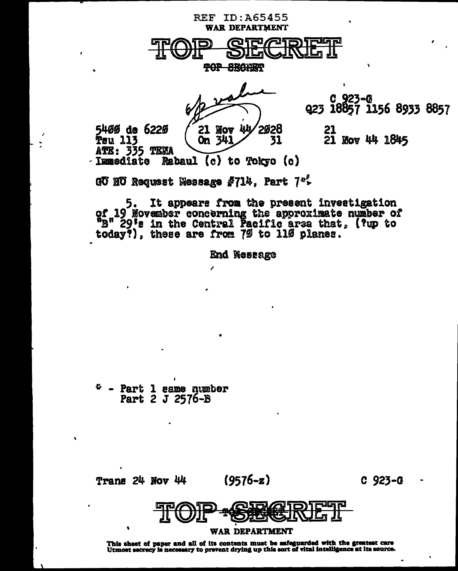

It appears from the present investigation 5. of 19 November concerning the approximate number of "B" 29's in the Central Pacific area that, (?up to today?), these are from 7% to 11% planes.

**End Westage** 

 $P - Part 1$  same number Part 2 J 2576-B

 $(9576 - z)$ Trans 24 Nov 44  $C_{923-G}$ 



This sheet of paper and all of its contents must be safeguarded with the greatest care<br>Utmost secrecy is necessary to prevent drying up this sort of vital intelligence at its source.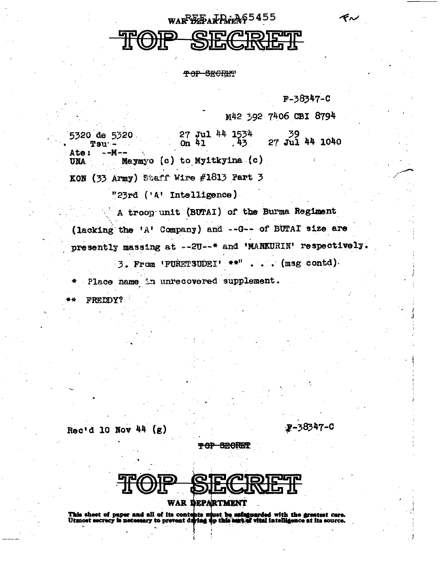WARPBEFART ROLL 55

TOP SECREP

F-38347-C

ぞん

M42 392 7406 CBI 8794

 $27$  Jul 44 1534<br>On 41 .43  $\frac{39}{27}$  Jul 44 1040 5320 de 5320 On  $41$ Tsu<sup>.</sup> Ate: --M--Maymyo (c) to Myitkyina (c) **UNA** KON (33 Army) Staff Wire #1813 Part 3

"23rd ('A' Intelligence)

A troop unit (BUTAI) of the Burma Regiment

(lacking the 'A' Company) and --G-- of BUTAI size are presently massing at --2U--\* and 'MANKURIN' respectively.

3. From 'FURETSUDEI' \*\*" . . . (msg contd)

Place name in unrecovered supplement.

FREDDY?

Rec'd 10 Nov 44  $(g)$ 

F-38347-C

<del>POP SECRET</del>

WAR DEPARTMENT

This sheet of paper and all of its contents must be safeguarded with the greatest care.<br>Utmost secrecy is necessary to prevent diving up this eart of vital intelligence at its source.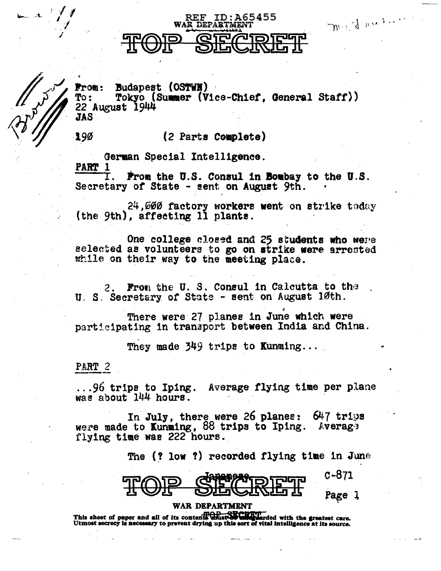# WAR DEPART

REF

ID:A65455

Mrs. J. A. A. S. Les Li

**Budapest (OSTWN) From:** 

Tokyo (Summer (Vice-Chief, General Staff))  $TQ$ : 22 August 1944 JAS

190

# (2 Parts Complete)

German Special Intelligence. PART 1

From the U.S. Consul in Bombay to the U.S. Secretary of State - sent on August 9th.

24,000 factory workers went on strike today (the 9th), affecting 11 plants.

One college closed and 25 students who were selected as volunteers to go on strike were arrested while on their way to the meeting place.

From the U.S. Consul in Calcutta to the U. S. Secretary of State - sent on August 10th.

There were 27 planes in June which were participating in transport between India and China.

They made 349 trips to Kunming...

PART 2

...96 trips to Iping. Average flying time per plane was about 144 hours.

In July, there were 26 planes: 647 trips were made to Kunming, 88 trips to Iping. Average flying time was 222 hours.

The (? low ?) recorded flying time in June

C-871

Page 1

# WAR DEPARTMENT

This sheet of paper and all of its contents and this confidential with the greatest care. Utmost secrecy is necessary to prevent drying up this sort of vital intelligence at its source.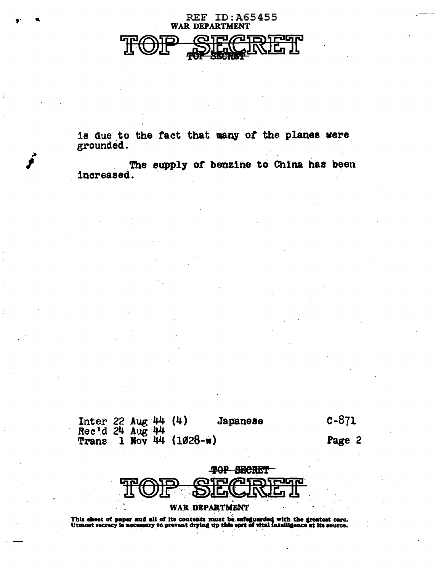# **REF ID:A65455 WAR DEPARTMENT**

is due to the fact that many of the planes were grounded.

The supply of benzine to China has been increased.

Inter 22 Aug 44 (4)<br>Rec'd 24 Aug 44<br>Trans 1 Nov 44 (1028-w) **Japanese**   $c - 871$ 

Page 2



## **WAR DEPARTMENT**

This sheet of paper and all of its contents must be safeguarded with the greatest care.<br>Utmost secrecy is necessary to prevent drying up this sort of vital intelligence at its source.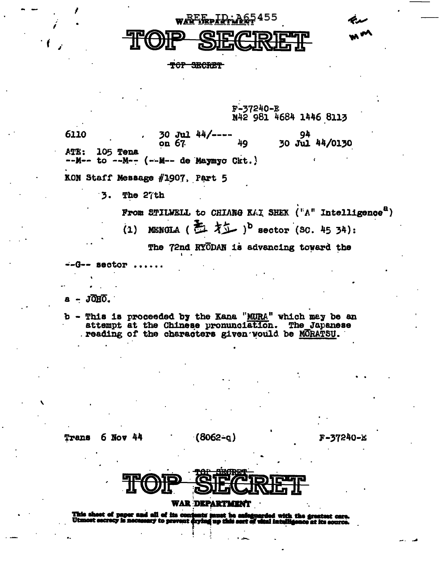wAEFreDLD-A65455

TOP SECRET

F-37240-E N42 981 4684 1446 8113

6110  $30$  Jul  $44/----$ 94 30 Jul 44/0130 49 on  $67$ ATE: 105 Tena  $--M--$  to  $--M- (-M--$  de Maymyo Ckt.

KON Staff Message #1907, Part 5

 $\overline{\mathbf{3}}$ . The 27th

From STILWELL to CHIANG KAI SHEK ("A" Intelligence")

(1) MENGLA (五才二)<sup>b</sup> sector (SC. 45 34):

The 72nd RYODAN is advancing toward the

 $--G--$  sector.

JOHO.

b - This is proceeded by the Kana "MURA" which may be an attempt at the Chinese pronunciation. The Japanese reading of the characters given would be MORATSU.

Trans 6 Nov 44  $(8062 - q)$ 

F-37240-E



## **WAR DEPARTMENT**

This sheet of paper and all of its contents must be safe<br>Utmost secrecy is necessary to prevent drying up this sert i<mark>feguarded with the gr</mark>e<br>rt of vital intelligence at e at its acurca.